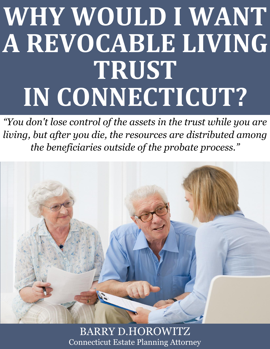# **WHY WOULD I WANT A REVOCABLE LIVING TRUST IN CONNECTICUT?**

*"You don't lose control of the assets in the trust while you are living, but after you die, the resources are distributed among the beneficiaries outside of the probate process."*



**Why Would I Want a Revocable Connecticut** Estate Planning Attorney and the  $\mathbb{R}$ BARRY D.HOROWITZ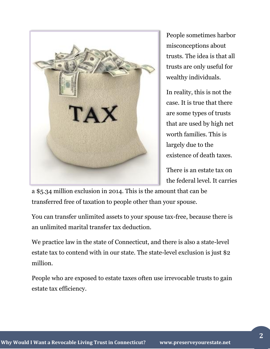

People sometimes harbor misconceptions about trusts. The idea is that all trusts are only useful for wealthy individuals.

In reality, this is not the case. It is true that there are some types of trusts that are used by high net worth families. This is largely due to the existence of death taxes.

There is an estate tax on the federal level. It carries

a \$5.34 million exclusion in 2014. This is the amount that can be transferred free of taxation to people other than your spouse.

You can transfer unlimited assets to your spouse tax-free, because there is an unlimited marital transfer tax deduction.

We practice law in the state of Connecticut, and there is also a state-level estate tax to contend with in our state. The state-level exclusion is just \$2 million.

People who are exposed to estate taxes often use irrevocable trusts to gain estate tax efficiency.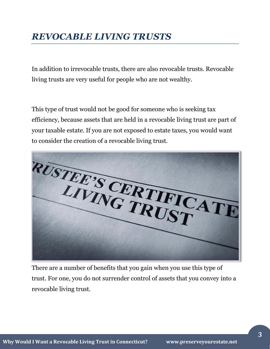# *REVOCABLE LIVING TRUSTS*

In addition to irrevocable trusts, there are also revocable trusts. Revocable living trusts are very useful for people who are not wealthy.

This type of trust would not be good for someone who is seeking tax efficiency, because assets that are held in a revocable living trust are part of your taxable estate. If you are not exposed to estate taxes, you would want to consider the creation of a revocable living trust.



There are a number of benefits that you gain when you use this type of trust. For one, you do not surrender control of assets that you convey into a revocable living trust.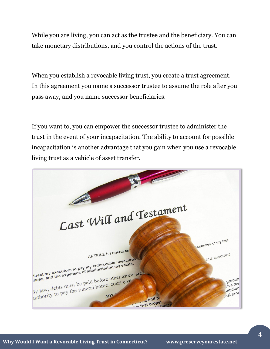While you are living, you can act as the trustee and the beneficiary. You can take monetary distributions, and you control the actions of the trust.

When you establish a revocable living trust, you create a trust agreement. In this agreement you name a successor trustee to assume the role after you pass away, and you name successor beneficiaries.

If you want to, you can empower the successor trustee to administer the trust in the event of your incapacitation. The ability to account for possible incapacitation is another advantage that you gain when you use a revocable living trust as a vehicle of asset transfer.

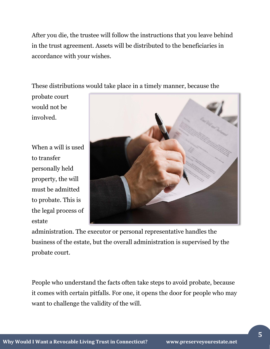After you die, the trustee will follow the instructions that you leave behind in the trust agreement. Assets will be distributed to the beneficiaries in accordance with your wishes.

These distributions would take place in a timely manner, because the

probate court would not be involved.

When a will is used to transfer personally held property, the will must be admitted to probate. This is the legal process of estate



administration. The executor or personal representative handles the business of the estate, but the overall administration is supervised by the probate court.

People who understand the facts often take steps to avoid probate, because it comes with certain pitfalls. For one, it opens the door for people who may want to challenge the validity of the will.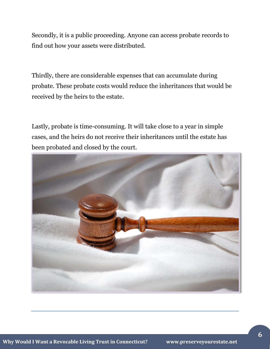Secondly, it is a public proceeding. Anyone can access probate records to find out how your assets were distributed.

Thirdly, there are considerable expenses that can accumulate during probate. These probate costs would reduce the inheritances that would be received by the heirs to the estate.

Lastly, probate is time-consuming. It will take close to a year in simple cases, and the heirs do not receive their inheritances until the estate has been probated and closed by the court.

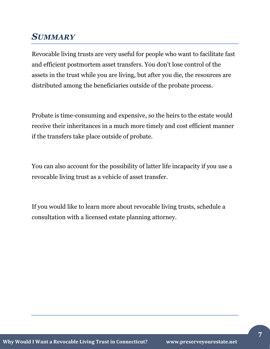## *SUMMARY*

Revocable living trusts are very useful for people who want to facilitate fast and efficient postmortem asset transfers. You don't lose control of the assets in the trust while you are living, but after you die, the resources are distributed among the beneficiaries outside of the probate process.

Probate is time-consuming and expensive, so the heirs to the estate would receive their inheritances in a much more timely and cost efficient manner if the transfers take place outside of probate.

You can also account for the possibility of latter life incapacity if you use a revocable living trust as a vehicle of asset transfer.

If you would like to learn more about revocable living trusts, schedule a consultation with a licensed estate planning attorney.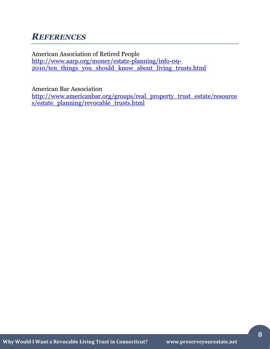## *REFERENCES*

American Association of Retired People [http://www.aarp.org/money/estate-planning/info-09-](http://www.aarp.org/money/estate-planning/info-09-2010/ten_things_you_should_know_about_living_trusts.html) [2010/ten\\_things\\_you\\_should\\_know\\_about\\_living\\_trusts.html](http://www.aarp.org/money/estate-planning/info-09-2010/ten_things_you_should_know_about_living_trusts.html)

American Bar Association

[http://www.americanbar.org/groups/real\\_property\\_trust\\_estate/resource](http://www.americanbar.org/groups/real_property_trust_estate/resources/estate_planning/revocable_trusts.html) [s/estate\\_planning/revocable\\_trusts.html](http://www.americanbar.org/groups/real_property_trust_estate/resources/estate_planning/revocable_trusts.html)